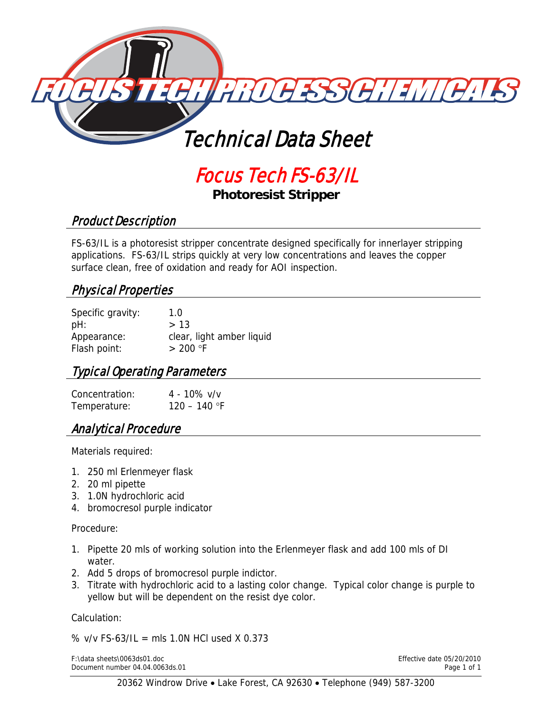

# Focus Tech FS-63/IL

**Photoresist Stripper** 

## Product Description

FS-63/IL is a photoresist stripper concentrate designed specifically for innerlayer stripping applications. FS-63/IL strips quickly at very low concentrations and leaves the copper surface clean, free of oxidation and ready for AOI inspection.

## Physical Properties

| Specific gravity: | 1.0                       |
|-------------------|---------------------------|
| pH:               | >13                       |
| Appearance:       | clear, light amber liquid |
| Flash point:      | $> 200$ °F                |

#### Typical Operating Parameters

| Concentration: | $4 - 10\%$ v/v |
|----------------|----------------|
| Temperature:   | 120 – 140 °F   |

#### Analytical Procedure

Materials required:

- 1. 250 ml Erlenmeyer flask
- 2. 20 ml pipette
- 3. 1.0N hydrochloric acid
- 4. bromocresol purple indicator

Procedure:

- 1. Pipette 20 mls of working solution into the Erlenmeyer flask and add 100 mls of DI water.
- 2. Add 5 drops of bromocresol purple indictor.
- 3. Titrate with hydrochloric acid to a lasting color change. Typical color change is purple to yellow but will be dependent on the resist dye color.

Calculation:

%  $v/v$  FS-63/IL = mls 1.0N HCl used X 0.373

F:\data sheets\0063ds01.doc Effective date 05/20/2010 Document number 04.04.0063ds.01 Page 1 of 1